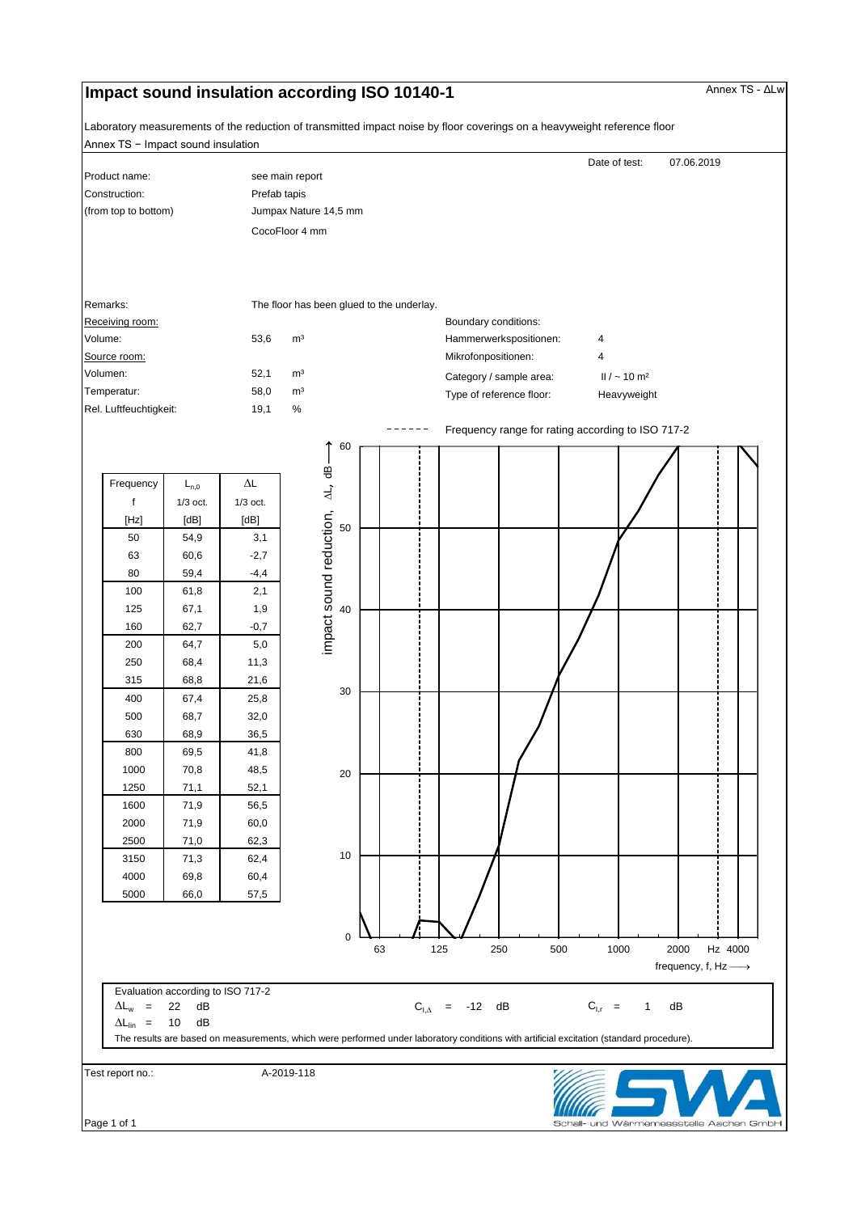## **Impact sound insulation according ISO 10140-1 Annex TS - ΔLw** Annex TS - ΔLw

Annex TS − Impact sound insulation Laboratory measurements of the reduction of transmitted impact noise by floor coverings on a heavyweight reference floor

| Product name:                         |                                   | see main report                         |                        |                                           |    |  |                         |                          | Date of test:                                                                                                                            |                    | 07.06.2019 |  |
|---------------------------------------|-----------------------------------|-----------------------------------------|------------------------|-------------------------------------------|----|--|-------------------------|--------------------------|------------------------------------------------------------------------------------------------------------------------------------------|--------------------|------------|--|
| Construction:<br>(from top to bottom) |                                   | Prefab tapis                            |                        |                                           |    |  |                         |                          |                                                                                                                                          |                    |            |  |
|                                       |                                   | Jumpax Nature 14,5 mm<br>CocoFloor 4 mm |                        |                                           |    |  |                         |                          |                                                                                                                                          |                    |            |  |
|                                       |                                   |                                         |                        |                                           |    |  |                         |                          |                                                                                                                                          |                    |            |  |
|                                       |                                   |                                         |                        |                                           |    |  |                         |                          |                                                                                                                                          |                    |            |  |
|                                       |                                   |                                         |                        |                                           |    |  |                         |                          |                                                                                                                                          |                    |            |  |
|                                       |                                   |                                         |                        |                                           |    |  |                         |                          |                                                                                                                                          |                    |            |  |
| Remarks:                              |                                   |                                         |                        | The floor has been glued to the underlay. |    |  |                         |                          |                                                                                                                                          |                    |            |  |
| Receiving room:                       |                                   |                                         |                        |                                           |    |  | Boundary conditions:    |                          |                                                                                                                                          |                    |            |  |
| Volume:                               |                                   | 53,6                                    | m <sup>3</sup>         |                                           |    |  |                         | Hammerwerkspositionen:   | 4                                                                                                                                        |                    |            |  |
| Source room:                          |                                   |                                         |                        |                                           |    |  | Mikrofonpositionen:     |                          | $\overline{4}$                                                                                                                           |                    |            |  |
| Volumen:                              |                                   | 52,1                                    | m <sup>3</sup>         |                                           |    |  |                         | Category / sample area:  | $II / \sim 10$ m <sup>2</sup>                                                                                                            |                    |            |  |
| Temperatur:<br>Rel. Luftfeuchtigkeit: |                                   | 58,0                                    | m <sup>3</sup><br>$\%$ |                                           |    |  |                         | Type of reference floor: | Heavyweight                                                                                                                              |                    |            |  |
|                                       |                                   | 19,1                                    |                        |                                           |    |  |                         |                          |                                                                                                                                          |                    |            |  |
|                                       |                                   |                                         |                        | 60                                        |    |  |                         |                          | Frequency range for rating according to ISO 717-2                                                                                        |                    |            |  |
|                                       |                                   |                                         |                        |                                           |    |  |                         |                          |                                                                                                                                          |                    |            |  |
| Frequency                             | $L_{n,0}$                         | $\Delta \mathsf{L}$                     |                        | impact sound reduction, AL, dB            |    |  |                         |                          |                                                                                                                                          |                    |            |  |
| $\mathbf f$                           | $1/3$ oct.                        | $1/3$ oct.                              |                        |                                           |    |  |                         |                          |                                                                                                                                          |                    |            |  |
| [Hz]                                  | [dB]                              | [dB]                                    |                        |                                           |    |  |                         |                          |                                                                                                                                          |                    |            |  |
| 50                                    | 54,9                              | 3,1                                     |                        | 50                                        |    |  |                         |                          |                                                                                                                                          |                    |            |  |
| 63                                    | 60,6                              | $-2,7$                                  |                        |                                           |    |  |                         |                          |                                                                                                                                          |                    |            |  |
| 80                                    | 59,4                              | $-4,4$                                  |                        |                                           |    |  |                         |                          |                                                                                                                                          |                    |            |  |
| 100                                   | 61,8                              | 2,1                                     |                        |                                           |    |  |                         |                          |                                                                                                                                          |                    |            |  |
| 125                                   | 67,1                              | 1,9                                     |                        | 40                                        |    |  |                         |                          |                                                                                                                                          |                    |            |  |
| 160                                   | 62,7                              | $-0,7$                                  |                        |                                           |    |  |                         |                          |                                                                                                                                          |                    |            |  |
| 200                                   | 64,7                              | 5,0                                     |                        |                                           |    |  |                         |                          |                                                                                                                                          |                    |            |  |
| 250                                   | 68,4                              | 11,3                                    |                        |                                           |    |  |                         |                          |                                                                                                                                          |                    |            |  |
| 315                                   | 68,8                              | 21,6                                    |                        |                                           |    |  |                         |                          |                                                                                                                                          |                    |            |  |
| 400                                   | 67,4                              | 25,8                                    |                        | 30                                        |    |  |                         |                          |                                                                                                                                          |                    |            |  |
| 500                                   | 68,7                              | 32,0                                    |                        |                                           |    |  |                         |                          |                                                                                                                                          |                    |            |  |
| 630                                   | 68,9                              | 36,5                                    |                        |                                           |    |  |                         |                          |                                                                                                                                          |                    |            |  |
| 800                                   | 69,5                              | 41,8                                    |                        |                                           |    |  |                         |                          |                                                                                                                                          |                    |            |  |
| 1000                                  | 70,8                              | 48,5                                    |                        | 20                                        |    |  |                         |                          |                                                                                                                                          |                    |            |  |
| 1250                                  | 71,1                              | 52,1                                    |                        |                                           |    |  |                         |                          |                                                                                                                                          |                    |            |  |
| 1600                                  | 71,9                              | 56,5                                    |                        |                                           |    |  |                         |                          |                                                                                                                                          |                    |            |  |
| 2000                                  | 71,9                              | 60,0                                    |                        |                                           |    |  |                         |                          |                                                                                                                                          |                    |            |  |
| 2500                                  | 71,0                              | 62,3                                    |                        | 10                                        |    |  |                         |                          |                                                                                                                                          |                    |            |  |
| 3150                                  | 71,3                              | 62,4                                    |                        |                                           |    |  |                         |                          |                                                                                                                                          |                    |            |  |
| 4000                                  | 69,8                              | 60,4                                    |                        |                                           |    |  |                         |                          |                                                                                                                                          |                    |            |  |
|                                       |                                   |                                         |                        |                                           |    |  |                         |                          |                                                                                                                                          |                    |            |  |
| 5000                                  | 66,0                              | 57,5                                    |                        |                                           |    |  |                         |                          |                                                                                                                                          |                    |            |  |
|                                       |                                   |                                         |                        | $\mathbf 0$                               |    |  |                         |                          |                                                                                                                                          |                    |            |  |
|                                       |                                   |                                         |                        |                                           | 63 |  | 125                     | 250                      | 500<br>1000                                                                                                                              | 2000               | Hz 4000    |  |
|                                       |                                   |                                         |                        |                                           |    |  |                         |                          |                                                                                                                                          | frequency, f, Hz - |            |  |
|                                       | Evaluation according to ISO 717-2 |                                         |                        |                                           |    |  |                         |                          |                                                                                                                                          |                    |            |  |
| $\Delta L_w$ =                        | 22<br>dB                          |                                         |                        |                                           |    |  | $C_{1,\Delta}$ = -12 dB |                          | $C_{1,r}$ =                                                                                                                              | dB<br>1            |            |  |
| $\Delta L_{lin}$ =                    | $10$<br>dB                        |                                         |                        |                                           |    |  |                         |                          |                                                                                                                                          |                    |            |  |
|                                       |                                   |                                         |                        |                                           |    |  |                         |                          | The results are based on measurements, which were performed under laboratory conditions with artificial excitation (standard procedure). |                    |            |  |
|                                       |                                   |                                         |                        |                                           |    |  |                         |                          |                                                                                                                                          |                    |            |  |
| Test report no.:                      |                                   |                                         | A-2019-118             |                                           |    |  |                         |                          |                                                                                                                                          |                    | <b>AZ</b>  |  |

Schall- und Wärmemessstelle Aachen Gmbl-

Page 1 of 1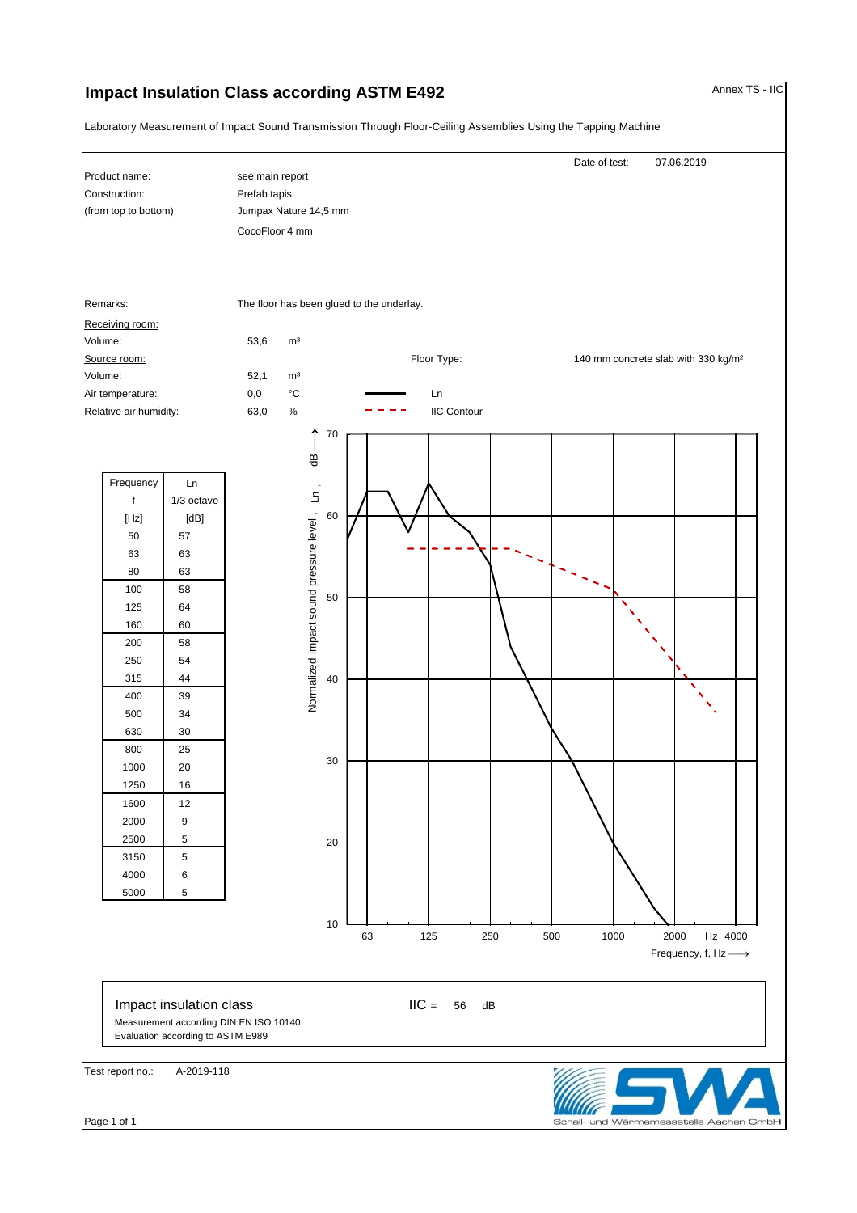## **Impact Insulation Class according ASTM E492** Annex TS - IIC

Laboratory Measurement of Impact Sound Transmission Through Floor-Ceiling Assemblies Using the Tapping Machine